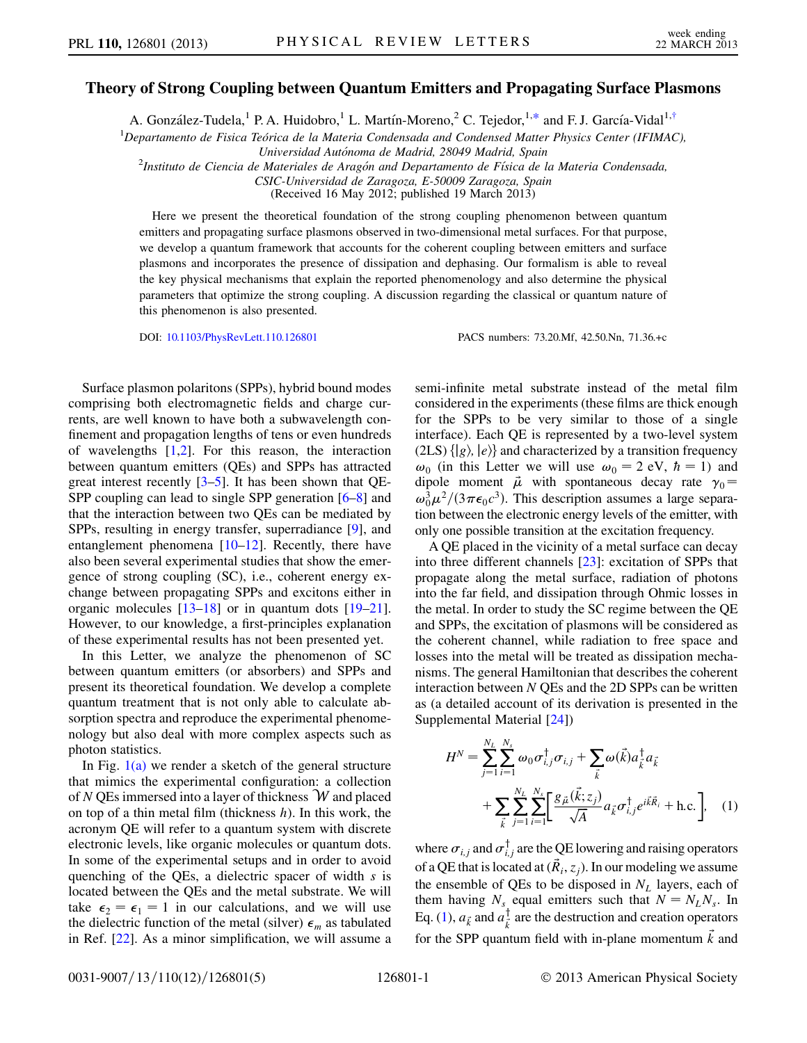## <span id="page-0-1"></span>Theory of Strong Coupling between Quantum Emitters and Propagating Surface Plasmons

A. González-Tudela,<sup>1</sup> P. A. Huidobro,<sup>1</sup> L. Martín-Moreno,<sup>2</sup> C. Tejedor,<sup>1[,\\*](#page-4-0)</sup> and F. J. García-Vidal<sup>1,[†](#page-4-1)</sup>

<sup>1</sup>Departamento de Fisica Teórica de la Materia Condensada and Condensed Matter Physics Center (IFIMAC),

Universidad Autónoma de Madrid, 28049 Madrid, Spain

<sup>2</sup>Instituto de Ciencia de Materiales de Aragón and Departamento de Física de la Materia Condensada,

CSIC-Universidad de Zaragoza, E-50009 Zaragoza, Spain

(Received 16 May 2012; published 19 March 2013)

Here we present the theoretical foundation of the strong coupling phenomenon between quantum emitters and propagating surface plasmons observed in two-dimensional metal surfaces. For that purpose, we develop a quantum framework that accounts for the coherent coupling between emitters and surface plasmons and incorporates the presence of dissipation and dephasing. Our formalism is able to reveal the key physical mechanisms that explain the reported phenomenology and also determine the physical parameters that optimize the strong coupling. A discussion regarding the classical or quantum nature of this phenomenon is also presented.

DOI: [10.1103/PhysRevLett.110.126801](http://dx.doi.org/10.1103/PhysRevLett.110.126801) PACS numbers: 73.20.Mf, 42.50.Nn, 71.36.+c

Surface plasmon polaritons (SPPs), hybrid bound modes comprising both electromagnetic fields and charge currents, are well known to have both a subwavelength confinement and propagation lengths of tens or even hundreds of wavelengths [[1](#page-4-2),[2](#page-4-3)]. For this reason, the interaction between quantum emitters (QEs) and SPPs has attracted great interest recently [\[3–](#page-4-4)[5](#page-4-5)]. It has been shown that QE-SPP coupling can lead to single SPP generation [[6](#page-4-6)[–8](#page-4-7)] and that the interaction between two QEs can be mediated by SPPs, resulting in energy transfer, superradiance [[9](#page-4-8)], and entanglement phenomena [\[10–](#page-4-9)[12](#page-4-10)]. Recently, there have also been several experimental studies that show the emergence of strong coupling (SC), i.e., coherent energy exchange between propagating SPPs and excitons either in organic molecules [\[13–](#page-4-11)[18](#page-4-12)] or in quantum dots [[19](#page-4-13)[–21\]](#page-4-14). However, to our knowledge, a first-principles explanation of these experimental results has not been presented yet.

In this Letter, we analyze the phenomenon of SC between quantum emitters (or absorbers) and SPPs and present its theoretical foundation. We develop a complete quantum treatment that is not only able to calculate absorption spectra and reproduce the experimental phenomenology but also deal with more complex aspects such as photon statistics.

In Fig.  $1(a)$  we render a sketch of the general structure that mimics the experimental configuration: a collection of N QEs immersed into a layer of thickness  $W$  and placed on top of a thin metal film (thickness  $h$ ). In this work, the acronym QE will refer to a quantum system with discrete electronic levels, like organic molecules or quantum dots. In some of the experimental setups and in order to avoid quenching of the QEs, a dielectric spacer of width s is located between the QEs and the metal substrate. We will take  $\epsilon_2 = \epsilon_1 = 1$  in our calculations, and we will use the dielectric function of the metal (silver)  $\epsilon_m$  as tabulated in Ref. [\[22\]](#page-4-15). As a minor simplification, we will assume a semi-infinite metal substrate instead of the metal film considered in the experiments (these films are thick enough for the SPPs to be very similar to those of a single interface). Each QE is represented by a two-level system  $(2LS)$  { $|g\rangle$ ,  $|e\rangle$ } and characterized by a transition frequency  $\omega_0$  (in this Letter we will use  $\omega_0 = 2$  eV,  $\hbar = 1$ ) and dipole moment  $\vec{\mu}$  with spontaneous decay rate  $\gamma_0 = \omega^3 u^2/(3\pi\epsilon_0 c^3)$ . This description assumes a large separa- $\omega_0^3 \mu^2/(3\pi\epsilon_0 c^3)$ . This description assumes a large separation between the electronic energy levels of the emitter with tion between the electronic energy levels of the emitter, with only one possible transition at the excitation frequency.

A QE placed in the vicinity of a metal surface can decay into three different channels [\[23\]](#page-4-16): excitation of SPPs that propagate along the metal surface, radiation of photons into the far field, and dissipation through Ohmic losses in the metal. In order to study the SC regime between the QE and SPPs, the excitation of plasmons will be considered as the coherent channel, while radiation to free space and losses into the metal will be treated as dissipation mechanisms. The general Hamiltonian that describes the coherent interaction between N QEs and the 2D SPPs can be written as (a detailed account of its derivation is presented in the Supplemental Material [[24](#page-4-17)])

<span id="page-0-0"></span>
$$
H^{N} = \sum_{j=1}^{N_{L}} \sum_{i=1}^{N_{s}} \omega_{0} \sigma_{i,j}^{\dagger} \sigma_{i,j} + \sum_{\vec{k}} \omega(\vec{k}) a_{\vec{k}}^{\dagger} a_{\vec{k}} + \sum_{\vec{k}} \sum_{j=1}^{N_{L}} \sum_{i=1}^{N_{s}} \left[ \frac{g_{\vec{\mu}}(\vec{k};z_{j})}{\sqrt{A}} a_{\vec{k}} \sigma_{i,j}^{\dagger} e^{i\vec{k}\vec{R}_{i}} + \text{h.c.} \right], \quad (1)
$$

where  $\sigma_{i,j}$  and  $\sigma_{i,j}^{\dagger}$  are the QE lowering and raising operators of a QE that is located at  $(\vec{R}_i, z_j)$ . In our modeling we assume the ensemble of QEs to be disposed in  $N_L$  layers, each of them having  $N_s$  equal emitters such that  $N = N_L N_s$ . In Eq. ([1\)](#page-0-0),  $a_{\vec{k}}$  and  $a_{\vec{k}}^{\dagger}$  are the destruction and creation operators for the SPP quantum field with in-plane momentum  $\vec{k}$  and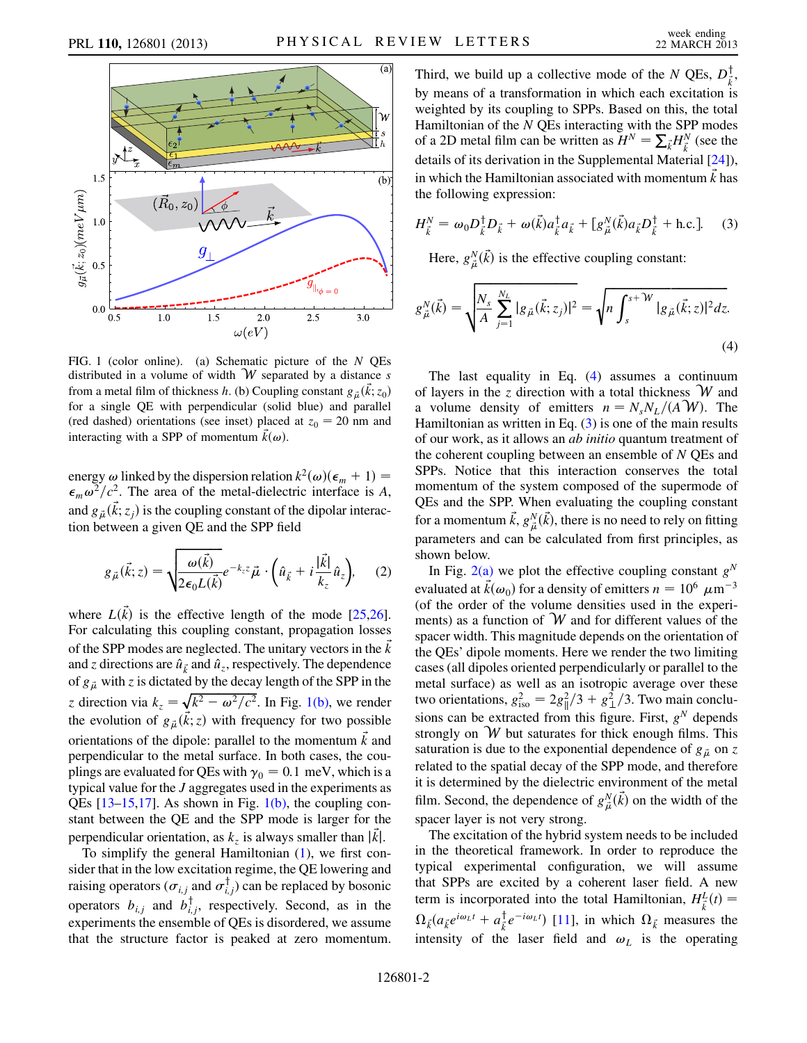

<span id="page-1-0"></span>FIG. 1 (color online). (a) Schematic picture of the N QEs distributed in a volume of width  $W$  separated by a distance s from a metal film of thickness h. (b) Coupling constant  $g_{\mu}(\vec{k}; z_0)$  for a single OE with perpendicular (solid blue) and parallel for a single QE with perpendicular (solid blue) and parallel (red dashed) orientations (see inset) placed at  $z_0 = 20$  nm and interacting with a SPP of momentum  $\vec{k}(\omega)$ .

energy  $\omega$  linked by the dispersion relation  $k^2(\omega)(\epsilon_m + 1) =$  $\epsilon_m \omega^2/c^2$ . The area of the metal-dielectric interface is A, and  $g_{\mu}(\vec{k}; z_j)$  is the coupling constant of the dipolar interac-<br>tion between a given OE and the SPP field tion between a given QE and the SPP field

$$
g_{\vec{\mu}}(\vec{k};z) = \sqrt{\frac{\omega(\vec{k})}{2\epsilon_0 L(\vec{k})}} e^{-k_z z} \vec{\mu} \cdot \left(\hat{u}_{\vec{k}} + i \frac{|\vec{k}|}{k_z} \hat{u}_z\right), \quad (2)
$$

where  $L(k)$  is the effective length of the mode [[25](#page-4-18),[26](#page-4-19)]. For calculating this coupling constant, propagation losses of the SPP modes are neglected. The unitary vectors in the  $\vec{k}$ and z directions are  $\hat{u}_{\vec{k}}$  and  $\hat{u}_z$ , respectively. The dependence of  $g_{\mu}$  with z is dictated by the decay length of the SPP in the z direction via  $k_z = \sqrt{k^2 - \omega^2/c^2}$ . In Fig. [1\(b\)](#page-1-0), we render the available of a  $(k, z)$  with frequency for two possible the evolution of  $g_{\mu}(\vec{k}; z)$  with frequency for two possible orientations of the dipole: parallel to the momentum  $\vec{k}$  and perpendicular to the metal surface. In both cases, the couplings are evaluated for QEs with  $\gamma_0 = 0.1$  meV, which is a typical value for the J aggregates used in the experiments as QEs  $[13-15,17]$  $[13-15,17]$  $[13-15,17]$  $[13-15,17]$  $[13-15,17]$ . As shown in Fig.  $1(b)$ , the coupling constant between the QE and the SPP mode is larger for the perpendicular orientation, as  $k_z$  is always smaller than |k|.

To simplify the general Hamiltonian [\(1](#page-0-0)), we first consider that in the low excitation regime, the QE lowering and raising operators ( $\sigma_{i,j}$  and  $\sigma_{i,j}^{\dagger}$ ) can be replaced by bosonic operators  $b_{i,j}$  and  $b_{i,j}^{\dagger}$ , respectively. Second, as in the experiments the ensemble of QEs is disordered, we assume that the structure factor is peaked at zero momentum.

Third, we build up a collective mode of the N QEs,  $D_{\vec{k}}^{\dagger}$ , by means of a transformation in which each excitation is weighted by its coupling to SPPs. Based on this, the total Hamiltonian of the  $N$  QEs interacting with the SPP modes of a 2D metal film can be written as  $H^N = \sum_{\vec{k}} H_{\vec{k}}^N$  (see the details of its derivation in the Supplemental Material [\[24](#page-4-17)]), in which the Hamiltonian associated with momentum  $k$  has the following expression:

<span id="page-1-2"></span>
$$
H_{\vec{k}}^N = \omega_0 D_{\vec{k}}^{\dagger} D_{\vec{k}} + \omega(\vec{k}) a_{\vec{k}}^{\dagger} a_{\vec{k}} + [g_{\vec{\mu}}^N(\vec{k}) a_{\vec{k}} D_{\vec{k}}^{\dagger} + \text{h.c.}]. \quad (3)
$$

<span id="page-1-1"></span>Here,  $g_{\vec{\mu}}^N(\vec{k})$  is the effective coupling constant:

$$
g_{\vec{\mu}}^{N}(\vec{k}) = \sqrt{\frac{N_{s}}{A} \sum_{j=1}^{N_{L}} |g_{\vec{\mu}}(\vec{k}; z_{j})|^{2}} = \sqrt{n \int_{s}^{s+W} |g_{\vec{\mu}}(\vec{k}; z)|^{2} dz}.
$$
\n(4)

The last equality in Eq. ([4](#page-1-1)) assumes a continuum of layers in the z direction with a total thickness  $W$  and a volume density of emitters  $n = N_sN_L/(A^2W)$ . The Hamiltonian as written in Eq.  $(3)$  is one of the main results of our work, as it allows an ab initio quantum treatment of the coherent coupling between an ensemble of N QEs and SPPs. Notice that this interaction conserves the total momentum of the system composed of the supermode of QEs and the SPP. When evaluating the coupling constant for a momentum  $\vec{k}$ ,  $g_N^N(\vec{k})$ , there is no need to rely on fitting<br>nonprotecting and some possible defined from first principles, as parameters and can be calculated from first principles, as shown below.

In Fig. [2\(a\)](#page-2-0) we plot the effective coupling constant  $g<sup>N</sup>$ evaluated at  $\vec{k}(\omega_0)$  for a density of emitters  $n = 10^6 \ \mu m^{-3}$ <br>(of the order of the volume densities used in the experi-(of the order of the volume densities used in the experiments) as a function of  $W$  and for different values of the spacer width. This magnitude depends on the orientation of the QEs' dipole moments. Here we render the two limiting cases (all dipoles oriented perpendicularly or parallel to the metal surface) as well as an isotropic average over these two orientations,  $g_{150}^2 = 2g_{\parallel}^2/3 + g_{\perp}^2/3$ . Two main conclusions can be extracted from this figure. First,  $g_{\perp}^N$  denotes sions can be extracted from this figure. First,  $g<sup>N</sup>$  depends strongly on  $W$  but saturates for thick enough films. This saturation is due to the exponential dependence of  $g_{\mu}$  on z related to the spatial decay of the SPP mode, and therefore it is determined by the dielectric environment of the metal film. Second, the dependence of  $g_{\vec{\mu}}^N(\vec{k})$  on the width of the spacer layer is not very strong.

The excitation of the hybrid system needs to be included in the theoretical framework. In order to reproduce the typical experimental configuration, we will assume that SPPs are excited by a coherent laser field. A new term is incorporated into the total Hamiltonian,  $H_{\vec{k}}^L(t) =$  $\Omega_{\vec{k}}(a_{\vec{k}}e^{i\omega_{L}t} + a_{\vec{k}}^{\dagger}e^{-i\omega_{L}t})$  [[11](#page-4-22)], in which  $\Omega_{\vec{k}}$  measures the intensity of the laser field and  $\omega_L$  is the operating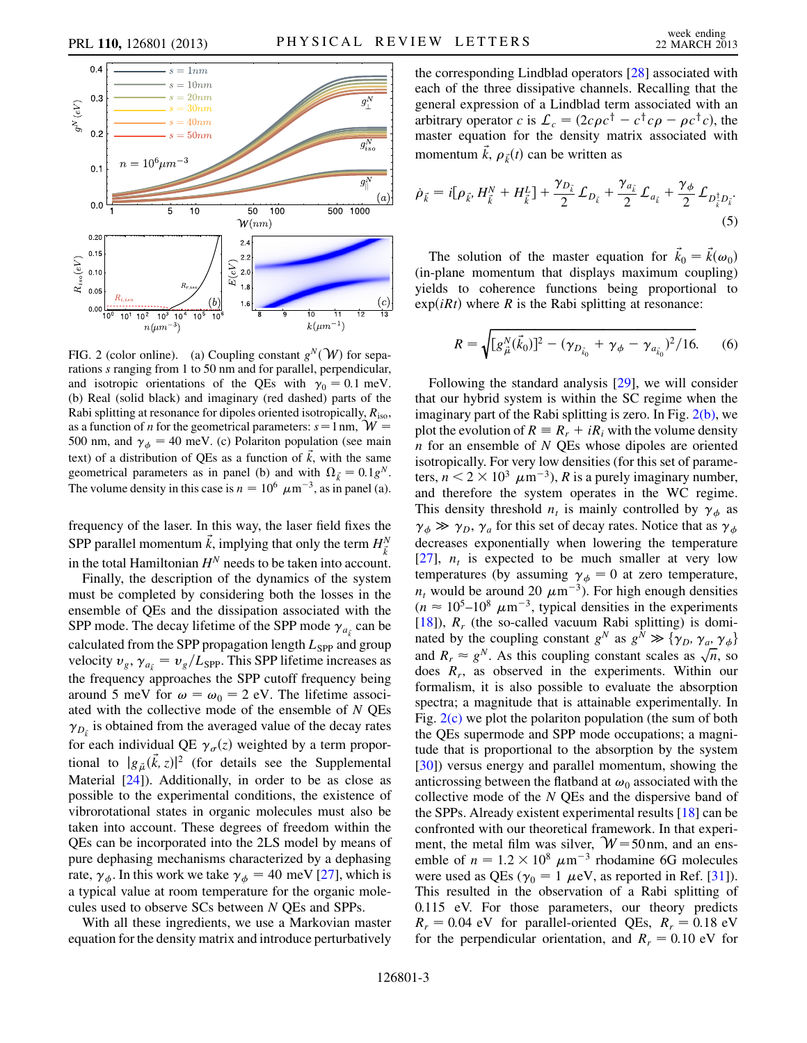<span id="page-2-2"></span>

<span id="page-2-0"></span>FIG. 2 (color online). (a) Coupling constant  $g^N(\mathcal{W})$  for separations s ranging from 1 to 50 nm and for parallel, perpendicular, and isotropic orientations of the QEs with  $\gamma_0 = 0.1$  meV. (b) Real (solid black) and imaginary (red dashed) parts of the Rabi splitting at resonance for dipoles oriented isotropically,  $R_{\text{iso}}$ , as a function of *n* for the geometrical parameters:  $s = 1$  nm,  $W =$ 500 nm, and  $\gamma_{\phi} = 40$  meV. (c) Polariton population (see main text) of a distribution of QEs as a function of  $\vec{k}$ , with the same geometrical parameters as in panel (b) and with  $\Omega_{\vec{k}} = 0.1g^N$ .<br>The volume density in this case is  $n = 10^6$   $\mu \text{m}^{-3}$  as in panel (a) The volume density in this case is  $n = 10^6 \ \mu m^{-3}$ , as in panel (a).

frequency of the laser. In this way, the laser field fixes the SPP parallel momentum  $\vec{k}$ , implying that only the term  $H_{\vec{k}}^{N}$ in the total Hamiltonian  $H^N$  needs to be taken into account.

Finally, the description of the dynamics of the system must be completed by considering both the losses in the ensemble of QEs and the dissipation associated with the SPP mode. The decay lifetime of the SPP mode  $\gamma_{a_{\vec{k}}}$  can be calculated from the SPP propagation length  $L_{SPP}$  and group velocity  $v_g$ ,  $\gamma_{a_{\tilde{k}}} = v_g/L_{\text{SPP}}$ . This SPP lifetime increases as the frequency energy energy heiror the frequency approaches the SPP cutoff frequency being around 5 meV for  $\omega = \omega_0 = 2$  eV. The lifetime associated with the collective mode of the ensemble of N QEs  $\gamma_{D_{\vec{r}}}$  is obtained from the averaged value of the decay rates for each individual QE  $\gamma_{\sigma}(z)$  weighted by a term proportional to  $|g_{\mu}(\vec{k}, z)|^2$  (for details see the Supplemental<br>Material [241], Additionally in order to be as close as Material [[24](#page-4-17)]). Additionally, in order to be as close as possible to the experimental conditions, the existence of vibrorotational states in organic molecules must also be taken into account. These degrees of freedom within the QEs can be incorporated into the 2LS model by means of pure dephasing mechanisms characterized by a dephasing rate,  $\gamma_{\phi}$ . In this work we take  $\gamma_{\phi} = 40$  meV [\[27\]](#page-4-23), which is a typical value at room temperature for the organic molecules used to observe SCs between N QEs and SPPs.

With all these ingredients, we use a Markovian master equation for the density matrix and introduce perturbatively

the corresponding Lindblad operators [[28](#page-4-24)] associated with each of the three dissipative channels. Recalling that the general expression of a Lindblad term associated with an arbitrary operator c is  $\mathcal{L}_c = (2c\rho c^{\dagger} - c^{\dagger} c\rho - \rho c^{\dagger} c)$ , the master equation for the density matrix associated with momentum k,  $\rho_{\vec{k}}(t)$  can be written as

<span id="page-2-1"></span>
$$
\dot{\rho}_{\vec{k}} = i[\rho_{\vec{k}}, H^N_{\vec{k}} + H^L_{\vec{k}}] + \frac{\gamma_{D_{\vec{k}}}}{2} \mathcal{L}_{D_{\vec{k}}} + \frac{\gamma_{a_{\vec{k}}}}{2} \mathcal{L}_{a_{\vec{k}}} + \frac{\gamma_{\phi}}{2} \mathcal{L}_{D_{\vec{k}}^{\dagger} D_{\vec{k}}}.
$$
\n(5)

The solution of the master equation for  $\vec{k}_0 = \vec{k}(\omega_0)$ <br>and the momentum that displays maximum coupling) (in-plane momentum that displays maximum coupling) yields to coherence functions being proportional to  $exp(iRt)$  where R is the Rabi splitting at resonance:

$$
R = \sqrt{[g_{\tilde{\mu}}^N(\vec{k}_0)]^2 - (\gamma_{D_{\vec{k}_0}} + \gamma_{\phi} - \gamma_{a_{\vec{k}_0}})^2/16}.
$$
 (6)

Following the standard analysis [[29\]](#page-4-25), we will consider that our hybrid system is within the SC regime when the imaginary part of the Rabi splitting is zero. In Fig.  $2(b)$ , we plot the evolution of  $R = R_r + iR_i$  with the volume density  $n$  for an ensemble of  $N$  QEs whose dipoles are oriented isotropically. For very low densities (for this set of parameters,  $n < 2 \times 10^3$   $\mu$ m<sup>-3</sup>), R is a purely imaginary number,<br>and therefore the system operates in the WC regime and therefore the system operates in the WC regime. This density threshold  $n_t$  is mainly controlled by  $\gamma_{\phi}$  as  $\gamma_{\phi} \gg \gamma_{D}, \gamma_{a}$  for this set of decay rates. Notice that as  $\gamma_{\phi}$ decreases exponentially when lowering the temperature [\[27\]](#page-4-23),  $n_t$  is expected to be much smaller at very low temperatures (by assuming  $\gamma_{\phi} = 0$  at zero temperature,  $n_t$  would be around 20  $\mu$ m<sup>-3</sup>). For high enough densities  $(n \approx 10^5-10^8 \mu m^{-3})$ , typical densities in the experiments<br>[18]) R (the so-called vacuum Rabi splitting) is domi-[\[18\]](#page-4-12)),  $R_r$  (the so-called vacuum Rabi splitting) is dominated by the coupling constant  $g^N$  as  $g^N \gg {\gamma_D, \gamma_a, \gamma_\phi}$ and  $R_r \approx g^N$ . As this coupling constant scales as  $\sqrt{n}$ , so does  $R$  as observed in the experiments. Within our does  $R_r$ , as observed in the experiments. Within our formalism, it is also possible to evaluate the absorption spectra; a magnitude that is attainable experimentally. In Fig.  $2(c)$  we plot the polariton population (the sum of both the QEs supermode and SPP mode occupations; a magnitude that is proportional to the absorption by the system [\[30\]](#page-4-26)) versus energy and parallel momentum, showing the anticrossing between the flatband at  $\omega_0$  associated with the collective mode of the N QEs and the dispersive band of the SPPs. Already existent experimental results [\[18\]](#page-4-12) can be confronted with our theoretical framework. In that experiment, the metal film was silver,  $W = 50$  nm, and an ensemble of  $n = 1.2 \times 10^8 \mu m^{-3}$  rhodamine 6G molecules<br>were used as OEs  $(\gamma_0 = 1 \mu eV)$  as reported in Ref. [31]) were used as QEs ( $\gamma_0 = 1 \mu eV$ , as reported in Ref. [\[31](#page-4-27)]).<br>This resulted in the observation of a Rabi splitting of This resulted in the observation of a Rabi splitting of 0.115 eV. For those parameters, our theory predicts  $R_r = 0.04$  eV for parallel-oriented QEs,  $R_r = 0.18$  eV for the perpendicular orientation, and  $R_r = 0.10$  eV for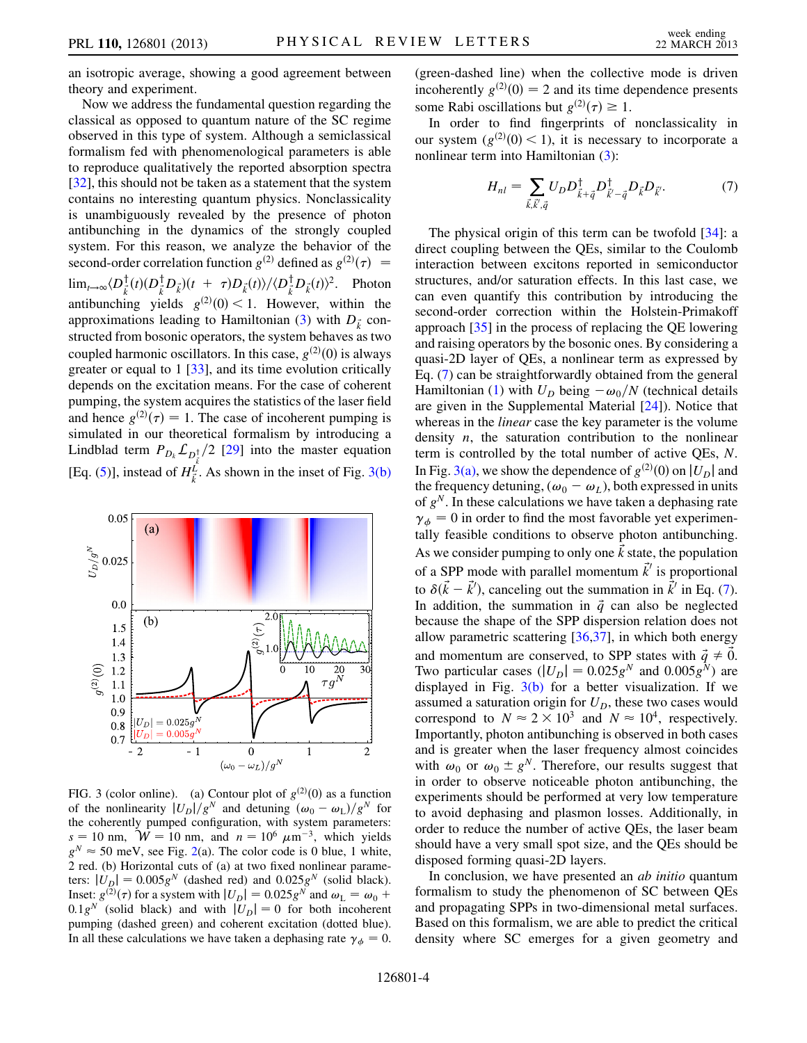an isotropic average, showing a good agreement between theory and experiment.

Now we address the fundamental question regarding the classical as opposed to quantum nature of the SC regime observed in this type of system. Although a semiclassical formalism fed with phenomenological parameters is able to reproduce qualitatively the reported absorption spectra [\[32\]](#page-4-28), this should not be taken as a statement that the system contains no interesting quantum physics. Nonclassicality is unambiguously revealed by the presence of photon antibunching in the dynamics of the strongly coupled system. For this reason, we analyze the behavior of the second-order correlation function  $g^{(2)}$  defined as  $g^{(2)}(\tau) =$ <br> $\frac{1}{2} \int \frac{1}{2} \left( \frac{\partial}{\partial \tau} \mathbf{1}_{R} \right) \left( \frac{\partial}{\partial \tau} \mathbf{1}_{R} \right) \left( \frac{\partial}{\partial \tau} \mathbf{1}_{R} \right) d\tau$  $\lim_{t\to\infty}\langle D^{\dagger}_{\vec{k}}(t)(D^{\dagger}_{\vec{k}}D_{\vec{k}})(t + \tau)D_{\vec{k}}(t)\rangle\langle D^{\dagger}_{\vec{k}}D_{\vec{k}}(t)\rangle^2.$  Photon antibunching yields  $g^{(2)}(0) < 1$ . However, within the approximations leading to Hamiltonian (3) with  $D_z$  con-approximations leading to Hamiltonian ([3\)](#page-1-2) with  $D_{\vec{k}}$  constructed from bosonic operators, the system behaves as two coupled harmonic oscillators. In this case,  $g^{(2)}(0)$  is always greater or equal to 1.1331 and its time evolution critically greater or equal to  $1 \left[ 33 \right]$  $1 \left[ 33 \right]$  $1 \left[ 33 \right]$ , and its time evolution critically depends on the excitation means. For the case of coherent pumping, the system acquires the statistics of the laser field and hence  $g^{(2)}(\tau) = 1$ . The case of incoherent pumping is simulated in our theoretical formalism by introducing a simulated in our theoretical formalism by introducing a Lindblad term  $P_{D_k} L_{D_{\tau}^{\dagger}}/2$  [\[29\]](#page-4-25) into the master equation [Eq. ([5](#page-2-1))], instead of  $H^{\frac{L}{2}}_{\vec{k}}$ . As shown in the inset of Fig. [3\(b\)](#page-3-0)



<span id="page-3-0"></span>FIG. 3 (color online). (a) Contour plot of  $g^{(2)}(0)$  as a function<br>of the nonlinearity  $|U_{\alpha}|/g^N$  and detuning  $(g_0 - g_0)/g^N$  for of the nonlinearity  $|U_D|/g^N$  and detuning  $(\omega_0 - \omega_L)/g^N$  for the coherently pumped configuration, with system parameters:  $s = 10$  nm,  $W = 10$  nm, and  $n = 10^6 \mu m^{-3}$ , which yields<br> $s^N \approx 50$  meV see Fig. 2(a). The color code is 0 blue 1 white  $g^N \approx 50$  meV, see Fig. [2](#page-2-2)(a). The color code is 0 blue, 1 white, 2 red. (b) Horizontal cuts of (a) at two fixed nonlinear parameters:  $|U_D| = 0.005g^N$  (dashed red) and  $0.025g^N$  (solid black). Inset:  $g^{(2)}(\tau)$  for a system with  $|U_D| = 0.025g^N$  and  $\omega_L = \omega_0 + 0.1g^N$  (solid black) and with  $|U_D| = 0$  for both incoherent  $0.1g^N$  (solid black) and with  $|U_D| = 0$  for both incoherent pumping (dashed green) and coherent excitation (dotted blue). In all these calculations we have taken a dephasing rate  $\gamma_{\phi} = 0$ .

(green-dashed line) when the collective mode is driven incoherently  $g^{(2)}(0) = 2$  and its time dependence presents<br>some Rabi oscillations but  $g^{(2)}(\tau) \ge 1$ some Rabi oscillations but  $g^{(2)}(\tau) \ge 1$ .<br>In order to find fingerprints of

<span id="page-3-1"></span>In order to find fingerprints of nonclassicality in our system  $(g^{(2)}(0) < 1)$ , it is necessary to incorporate a nonlinear term into Hamiltonian  $(3)$ . nonlinear term into Hamiltonian [\(3\)](#page-1-2):

$$
H_{nl} = \sum_{\vec{k}, \vec{k}', \vec{q}} U_D D_{\vec{k} + \vec{q}}^\dagger D_{\vec{k}' - \vec{q}}^\dagger D_{\vec{k}} D_{\vec{k}'}.
$$
 (7)

The physical origin of this term can be twofold [\[34\]](#page-4-30): a direct coupling between the QEs, similar to the Coulomb interaction between excitons reported in semiconductor structures, and/or saturation effects. In this last case, we can even quantify this contribution by introducing the second-order correction within the Holstein-Primakoff approach [[35](#page-4-31)] in the process of replacing the QE lowering and raising operators by the bosonic ones. By considering a quasi-2D layer of QEs, a nonlinear term as expressed by Eq. [\(7\)](#page-3-1) can be straightforwardly obtained from the general Hamiltonian ([1](#page-0-0)) with  $U_D$  being  $-\omega_0/N$  (technical details are given in the Supplemental Material [\[24\]](#page-4-17)). Notice that whereas in the linear case the key parameter is the volume density  $n$ , the saturation contribution to the nonlinear term is controlled by the total number of active QEs, N. In Fig. [3\(a\)](#page-3-0), we show the dependence of  $g^{(2)}(0)$  on  $|U_D|$  and<br>the frequency detuning  $(\omega_0 - \omega_1)$  both expressed in units the frequency detuning,  $(\omega_0 - \omega_L)$ , both expressed in units of  $g<sup>N</sup>$ . In these calculations we have taken a dephasing rate  $\gamma_{\phi} = 0$  in order to find the most favorable yet experimentally feasible conditions to observe photon antibunching. As we consider pumping to only one  $k$  state, the population of a SPP mode with parallel momentum  $\vec{k}'$  is proportional to  $\delta(\vec{k} - \vec{k}')$ , canceling out the summation in  $\vec{k}'$  in Eq. ([7\)](#page-3-1).<br>In addition, the summation in  $\vec{a}$  can also be neglected In addition, the summation in  $\vec{q}$  can also be neglected because the shape of the SPP dispersion relation does not allow parametric scattering  $[36,37]$  $[36,37]$  $[36,37]$  $[36,37]$  $[36,37]$ , in which both energy and momentum are conserved, to SPP states with  $\vec{q} \neq \vec{0}$ . Two particular cases  $(|U_D| = 0.025g^N$  and  $0.005g^N$ ) are displayed in Fig.  $3(b)$  for a better visualization. If we assumed a saturation origin for  $U_D$ , these two cases would correspond to  $N \approx 2 \times 10^3$  and  $N \approx 10^4$ , respectively. Importantly, photon antibunching is observed in both cases and is greater when the laser frequency almost coincides with  $\omega_0$  or  $\omega_0 \pm g^N$ . Therefore, our results suggest that in order to observe noticeable photon antibunching, the experiments should be performed at very low temperature to avoid dephasing and plasmon losses. Additionally, in order to reduce the number of active QEs, the laser beam should have a very small spot size, and the QEs should be disposed forming quasi-2D layers.

In conclusion, we have presented an *ab initio* quantum formalism to study the phenomenon of SC between QEs and propagating SPPs in two-dimensional metal surfaces. Based on this formalism, we are able to predict the critical density where SC emerges for a given geometry and